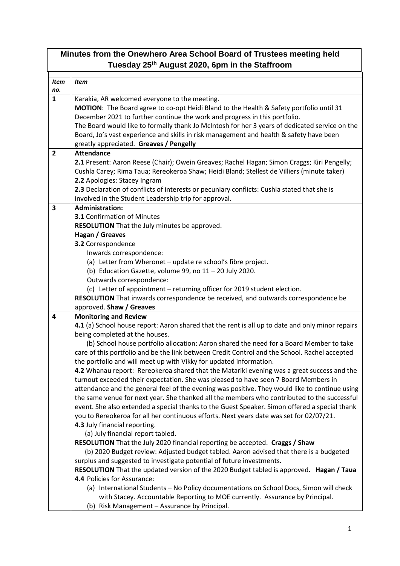## **Minutes from the Onewhero Area School Board of Trustees meeting held Tuesday 25th August 2020, 6pm in the Staffroom**

| <b>Item</b>    | <b>Item</b>                                                                                      |
|----------------|--------------------------------------------------------------------------------------------------|
| no.            |                                                                                                  |
| $\mathbf{1}$   | Karakia, AR welcomed everyone to the meeting.                                                    |
|                | MOTION: The Board agree to co-opt Heidi Bland to the Health & Safety portfolio until 31          |
|                | December 2021 to further continue the work and progress in this portfolio.                       |
|                | The Board would like to formally thank Jo McIntosh for her 3 years of dedicated service on the   |
|                | Board, Jo's vast experience and skills in risk management and health & safety have been          |
|                | greatly appreciated. Greaves / Pengelly                                                          |
| $\overline{2}$ | <b>Attendance</b>                                                                                |
|                | 2.1 Present: Aaron Reese (Chair); Owein Greaves; Rachel Hagan; Simon Craggs; Kiri Pengelly;      |
|                | Cushla Carey; Rima Taua; Rereokeroa Shaw; Heidi Bland; Stellest de Villiers (minute taker)       |
|                | 2.2 Apologies: Stacey Ingram                                                                     |
|                | 2.3 Declaration of conflicts of interests or pecuniary conflicts: Cushla stated that she is      |
|                | involved in the Student Leadership trip for approval.                                            |
| 3              | <b>Administration:</b>                                                                           |
|                | <b>3.1 Confirmation of Minutes</b>                                                               |
|                | RESOLUTION That the July minutes be approved.                                                    |
|                | Hagan / Greaves                                                                                  |
|                | 3.2 Correspondence                                                                               |
|                | Inwards correspondence:                                                                          |
|                | (a) Letter from Wheronet - update re school's fibre project.                                     |
|                | (b) Education Gazette, volume 99, no 11 - 20 July 2020.                                          |
|                | Outwards correspondence:                                                                         |
|                | (c) Letter of appointment - returning officer for 2019 student election.                         |
|                | RESOLUTION That inwards correspondence be received, and outwards correspondence be               |
|                | approved. Shaw / Greaves                                                                         |
| 4              | <b>Monitoring and Review</b>                                                                     |
|                | 4.1 (a) School house report: Aaron shared that the rent is all up to date and only minor repairs |
|                | being completed at the houses.                                                                   |
|                | (b) School house portfolio allocation: Aaron shared the need for a Board Member to take          |
|                | care of this portfolio and be the link between Credit Control and the School. Rachel accepted    |
|                | the portfolio and will meet up with Vikky for updated information.                               |
|                | 4.2 Whanau report: Rereokeroa shared that the Matariki evening was a great success and the       |
|                | turnout exceeded their expectation. She was pleased to have seen 7 Board Members in              |
|                | attendance and the general feel of the evening was positive. They would like to continue using   |
|                | the same venue for next year. She thanked all the members who contributed to the successful      |
|                | event. She also extended a special thanks to the Guest Speaker. Simon offered a special thank    |
|                | you to Rereokeroa for all her continuous efforts. Next years date was set for 02/07/21.          |
|                | 4.3 July financial reporting.                                                                    |
|                | (a) July financial report tabled.                                                                |
|                | RESOLUTION That the July 2020 financial reporting be accepted. Craggs / Shaw                     |
|                | (b) 2020 Budget review: Adjusted budget tabled. Aaron advised that there is a budgeted           |
|                | surplus and suggested to investigate potential of future investments.                            |
|                | RESOLUTION That the updated version of the 2020 Budget tabled is approved. Hagan / Taua          |
|                | 4.4 Policies for Assurance:                                                                      |
|                | (a) International Students - No Policy documentations on School Docs, Simon will check           |
|                | with Stacey. Accountable Reporting to MOE currently. Assurance by Principal.                     |
|                | (b) Risk Management - Assurance by Principal.                                                    |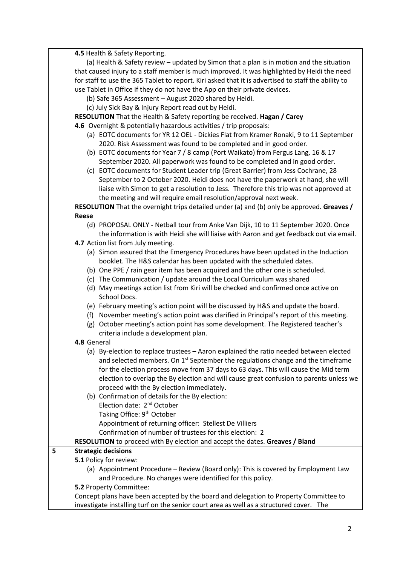|   | 4.5 Health & Safety Reporting.                                                                      |
|---|-----------------------------------------------------------------------------------------------------|
|   | (a) Health & Safety review - updated by Simon that a plan is in motion and the situation            |
|   | that caused injury to a staff member is much improved. It was highlighted by Heidi the need         |
|   | for staff to use the 365 Tablet to report. Kiri asked that it is advertised to staff the ability to |
|   | use Tablet in Office if they do not have the App on their private devices.                          |
|   | (b) Safe 365 Assessment - August 2020 shared by Heidi.                                              |
|   | (c) July Sick Bay & Injury Report read out by Heidi.                                                |
|   | RESOLUTION That the Health & Safety reporting be received. Hagan / Carey                            |
|   | 4.6 Overnight & potentially hazardous activities / trip proposals:                                  |
|   | (a) EOTC documents for YR 12 OEL - Dickies Flat from Kramer Ronaki, 9 to 11 September               |
|   | 2020. Risk Assessment was found to be completed and in good order.                                  |
|   | (b) EOTC documents for Year 7 / 8 camp (Port Waikato) from Fergus Lang, 16 & 17                     |
|   | September 2020. All paperwork was found to be completed and in good order.                          |
|   | (c) EOTC documents for Student Leader trip (Great Barrier) from Jess Cochrane, 28                   |
|   | September to 2 October 2020. Heidi does not have the paperwork at hand, she will                    |
|   | liaise with Simon to get a resolution to Jess. Therefore this trip was not approved at              |
|   | the meeting and will require email resolution/approval next week.                                   |
|   | RESOLUTION That the overnight trips detailed under (a) and (b) only be approved. Greaves /          |
|   | <b>Reese</b>                                                                                        |
|   | (d) PROPOSAL ONLY - Netball tour from Anke Van Dijk, 10 to 11 September 2020. Once                  |
|   | the information is with Heidi she will liaise with Aaron and get feedback out via email.            |
|   | 4.7 Action list from July meeting.                                                                  |
|   | (a) Simon assured that the Emergency Procedures have been updated in the Induction                  |
|   | booklet. The H&S calendar has been updated with the scheduled dates.                                |
|   | (b) One PPE / rain gear item has been acquired and the other one is scheduled.                      |
|   | (c) The Communication / update around the Local Curriculum was shared                               |
|   | (d) May meetings action list from Kiri will be checked and confirmed once active on<br>School Docs. |
|   | (e) February meeting's action point will be discussed by H&S and update the board.                  |
|   | (f) November meeting's action point was clarified in Principal's report of this meeting.            |
|   | (g) October meeting's action point has some development. The Registered teacher's                   |
|   | criteria include a development plan.                                                                |
|   | 4.8 General                                                                                         |
|   | (a) By-election to replace trustees - Aaron explained the ratio needed between elected              |
|   | and selected members. On $1st$ September the regulations change and the timeframe                   |
|   | for the election process move from 37 days to 63 days. This will cause the Mid term                 |
|   | election to overlap the By election and will cause great confusion to parents unless we             |
|   | proceed with the By election immediately.                                                           |
|   | (b) Confirmation of details for the By election:                                                    |
|   | Election date: 2 <sup>nd</sup> October                                                              |
|   | Taking Office: 9 <sup>th</sup> October                                                              |
|   | Appointment of returning officer: Stellest De Villiers                                              |
|   | Confirmation of number of trustees for this election: 2                                             |
|   | RESOLUTION to proceed with By election and accept the dates. Greaves / Bland                        |
| 5 | <b>Strategic decisions</b>                                                                          |
|   | 5.1 Policy for review:                                                                              |
|   | (a) Appointment Procedure - Review (Board only): This is covered by Employment Law                  |
|   | and Procedure. No changes were identified for this policy.                                          |
|   | 5.2 Property Committee:                                                                             |
|   | Concept plans have been accepted by the board and delegation to Property Committee to               |
|   | investigate installing turf on the senior court area as well as a structured cover. The             |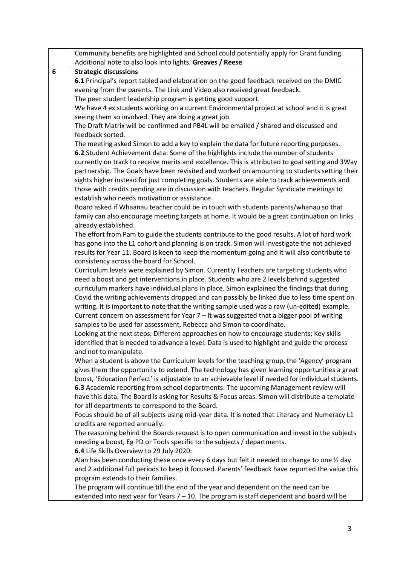|   | Community benefits are highlighted and School could potentially apply for Grant funding.                                                                                             |
|---|--------------------------------------------------------------------------------------------------------------------------------------------------------------------------------------|
|   | Additional note to also look into lights. Greaves / Reese                                                                                                                            |
| 6 | <b>Strategic discussions</b>                                                                                                                                                         |
|   | 6.1 Principal's report tabled and elaboration on the good feedback received on the DMIC                                                                                              |
|   | evening from the parents. The Link and Video also received great feedback.                                                                                                           |
|   | The peer student leadership program is getting good support.                                                                                                                         |
|   | We have 4 ex students working on a current Environmental project at school and it is great                                                                                           |
|   | seeing them so involved. They are doing a great job.                                                                                                                                 |
|   | The Draft Matrix will be confirmed and PB4L will be emailed / shared and discussed and                                                                                               |
|   | feedback sorted.                                                                                                                                                                     |
|   | The meeting asked Simon to add a key to explain the data for future reporting purposes.                                                                                              |
|   | 6.2 Student Achievement data: Some of the highlights include the number of students                                                                                                  |
|   | currently on track to receive merits and excellence. This is attributed to goal setting and 3Way                                                                                     |
|   | partnership. The Goals have been revisited and worked on amounting to students setting their                                                                                         |
|   | sights higher instead for just completing goals. Students are able to track achievements and                                                                                         |
|   | those with credits pending are in discussion with teachers. Regular Syndicate meetings to                                                                                            |
|   | establish who needs motivation or assistance.                                                                                                                                        |
|   | Board asked if Whaanau teacher could be in touch with students parents/whanau so that                                                                                                |
|   | family can also encourage meeting targets at home. It would be a great continuation on links                                                                                         |
|   | already established.                                                                                                                                                                 |
|   | The effort from Pam to guide the students contribute to the good results. A lot of hard work                                                                                         |
|   | has gone into the L1 cohort and planning is on track. Simon will investigate the not achieved                                                                                        |
|   | results for Year 11. Board is keen to keep the momentum going and it will also contribute to                                                                                         |
|   | consistency across the board for School.                                                                                                                                             |
|   | Curriculum levels were explained by Simon. Currently Teachers are targeting students who                                                                                             |
|   | need a boost and get interventions in place. Students who are 2 levels behind suggested                                                                                              |
|   | curriculum markers have individual plans in place. Simon explained the findings that during                                                                                          |
|   | Covid the writing achievements dropped and can possibly be linked due to less time spent on                                                                                          |
|   | writing. It is important to note that the writing sample used was a raw (un-edited) example.                                                                                         |
|   | Current concern on assessment for Year $7 -$ It was suggested that a bigger pool of writing                                                                                          |
|   | samples to be used for assessment, Rebecca and Simon to coordinate.                                                                                                                  |
|   | Looking at the next steps: Different approaches on how to encourage students; Key skills                                                                                             |
|   | identified that is needed to advance a level. Data is used to highlight and guide the process                                                                                        |
|   | and not to manipulate.                                                                                                                                                               |
|   | When a student is above the Curriculum levels for the teaching group, the 'Agency' program                                                                                           |
|   | gives them the opportunity to extend. The technology has given learning opportunities a great                                                                                        |
|   | boost, 'Education Perfect' is adjustable to an achievable level if needed for individual students.                                                                                   |
|   | 6.3 Academic reporting from school departments: The upcoming Management review will                                                                                                  |
|   | have this data. The Board is asking for Results & Focus areas. Simon will distribute a template                                                                                      |
|   | for all departments to correspond to the Board.                                                                                                                                      |
|   | Focus should be of all subjects using mid-year data. It is noted that Literacy and Numeracy L1                                                                                       |
|   | credits are reported annually.                                                                                                                                                       |
|   | The reasoning behind the Boards request is to open communication and invest in the subjects                                                                                          |
|   | needing a boost, Eg PD or Tools specific to the subjects / departments.                                                                                                              |
|   | 6.4 Life Skills Overview to 29 July 2020:                                                                                                                                            |
|   | Alan has been conducting these once every 6 days but felt it needed to change to one 1/2 day                                                                                         |
|   | and 2 additional full periods to keep it focused. Parents' feedback have reported the value this                                                                                     |
|   | program extends to their families.                                                                                                                                                   |
|   | The program will continue till the end of the year and dependent on the need can be<br>extended into next year for Years $7 - 10$ . The program is staff dependent and board will be |
|   |                                                                                                                                                                                      |